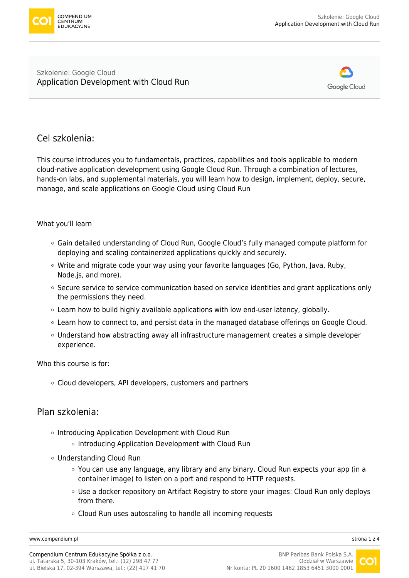

#### Szkolenie: Google Cloud [Application Development with Cloud Run](https://www.compendium.pl/szkolenie/4698/szkolenie-autoryzowane-google-cloud-application-development-with-cloud-run)



# Cel szkolenia:

This course introduces you to fundamentals, practices, capabilities and tools applicable to modern cloud-native application development using Google Cloud Run. Through a combination of lectures, hands-on labs, and supplemental materials, you will learn how to design, implement, deploy, secure, manage, and scale applications on Google Cloud using Cloud Run

#### What you'll learn

- Gain detailed understanding of Cloud Run, Google Cloud's fully managed compute platform for deploying and scaling containerized applications quickly and securely.
- $\circ$  Write and migrate code your way using your favorite languages (Go, Python, Java, Ruby, Node.js, and more).
- $\circ$  Secure service to service communication based on service identities and grant applications only the permissions they need.
- $\circ$  Learn how to build highly available applications with low end-user latency, globally.
- $\circ$  Learn how to connect to, and persist data in the managed database offerings on Google Cloud.
- $\circ$  Understand how abstracting away all infrastructure management creates a simple developer experience.

Who this course is for:

Cloud developers, API developers, customers and partners

#### Plan szkolenia:

- o Introducing Application Development with Cloud Run
	- $\circ$  Introducing Application Development with Cloud Run
- Understanding Cloud Run
	- $\circ$  You can use any language, any library and any binary. Cloud Run expects your app (in a container image) to listen on a port and respond to HTTP requests.
	- Use a docker repository on Artifact Registry to store your images: Cloud Run only deploys from there.
	- Cloud Run uses autoscaling to handle all incoming requests

[www.compendium.pl](https://www.compendium.pl/) strona 1 z 4

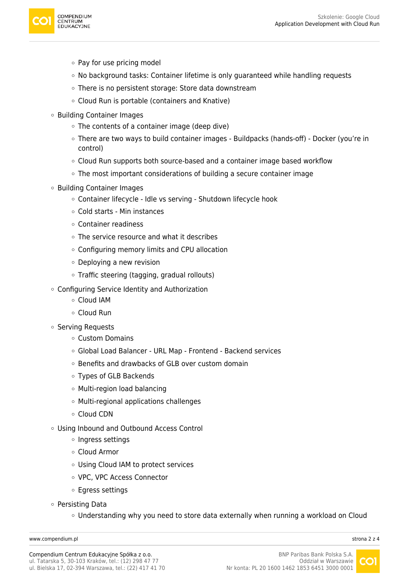

- Pay for use pricing model
- No background tasks: Container lifetime is only guaranteed while handling requests
- There is no persistent storage: Store data downstream
- Cloud Run is portable (containers and Knative)
- Building Container Images
	- The contents of a container image (deep dive)
	- There are two ways to build container images Buildpacks (hands-off) Docker (you're in control)
	- Cloud Run supports both source-based and a container image based workflow
	- The most important considerations of building a secure container image
- Building Container Images
	- Container lifecycle Idle vs serving Shutdown lifecycle hook
	- Cold starts Min instances
	- Container readiness
	- The service resource and what it describes
	- Configuring memory limits and CPU allocation
	- $\circ$  Deploying a new revision
	- Traffic steering (tagging, gradual rollouts)
- Configuring Service Identity and Authorization
	- Cloud IAM
	- Cloud Run
- Serving Requests
	- Custom Domains
	- Global Load Balancer URL Map Frontend Backend services
	- o Benefits and drawbacks of GLB over custom domain
	- Types of GLB Backends
	- Multi-region load balancing
	- Multi-regional applications challenges
	- Cloud CDN
- Using Inbound and Outbound Access Control
	- o Ingress settings
	- Cloud Armor
	- Using Cloud IAM to protect services
	- VPC, VPC Access Connector
	- Egress settings
- Persisting Data
	- Understanding why you need to store data externally when running a workload on Cloud

[www.compendium.pl](https://www.compendium.pl/) strona 2 z 4

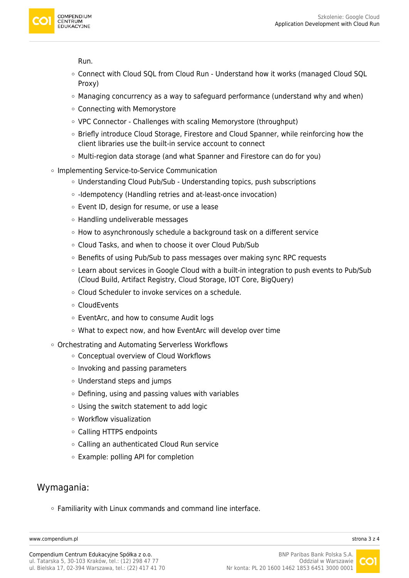

Run.

- Connect with Cloud SQL from Cloud Run Understand how it works (managed Cloud SQL Proxy)
- $\circ$  Managing concurrency as a way to safeguard performance (understand why and when)
- Connecting with Memorystore
- VPC Connector Challenges with scaling Memorystore (throughput)
- Briefly introduce Cloud Storage, Firestore and Cloud Spanner, while reinforcing how the client libraries use the built-in service account to connect
- Multi-region data storage (and what Spanner and Firestore can do for you)
- o Implementing Service-to-Service Communication
	- Understanding Cloud Pub/Sub Understanding topics, push subscriptions
	- $\circ$  -Idempotency (Handling retries and at-least-once invocation)
	- Event ID, design for resume, or use a lease
	- $\circ$  Handling undeliverable messages
	- How to asynchronously schedule a background task on a different service
	- Cloud Tasks, and when to choose it over Cloud Pub/Sub
	- Benefits of using Pub/Sub to pass messages over making sync RPC requests
	- Learn about services in Google Cloud with a built-in integration to push events to Pub/Sub (Cloud Build, Artifact Registry, Cloud Storage, IOT Core, BigQuery)
	- Cloud Scheduler to invoke services on a schedule.
	- CloudEvents
	- EventArc, and how to consume Audit logs
	- What to expect now, and how EventArc will develop over time
- Orchestrating and Automating Serverless Workflows
	- Conceptual overview of Cloud Workflows
	- $\circ$  Invoking and passing parameters
	- Understand steps and jumps
	- $\circ$  Defining, using and passing values with variables
	- Using the switch statement to add logic
	- Workflow visualization
	- Calling HTTPS endpoints
	- Calling an authenticated Cloud Run service
	- Example: polling API for completion

# Wymagania:

Familiarity with Linux commands and command line interface.

[www.compendium.pl](https://www.compendium.pl/) strona 3 z 4